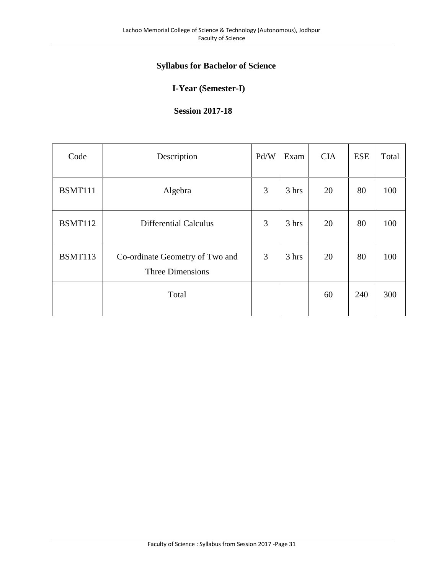# **Syllabus for Bachelor of Science**

# **I-Year (Semester-I)**

# **Session 2017-18**

| Code           | Description                                                | Pd/W | Exam  | <b>CIA</b> | <b>ESE</b> | Total |
|----------------|------------------------------------------------------------|------|-------|------------|------------|-------|
| BSMT111        | Algebra                                                    | 3    | 3 hrs | 20         | 80         | 100   |
| <b>BSMT112</b> | <b>Differential Calculus</b>                               | 3    | 3 hrs | 20         | 80         | 100   |
| <b>BSMT113</b> | Co-ordinate Geometry of Two and<br><b>Three Dimensions</b> | 3    | 3 hrs | 20         | 80         | 100   |
|                | Total                                                      |      |       | 60         | 240        | 300   |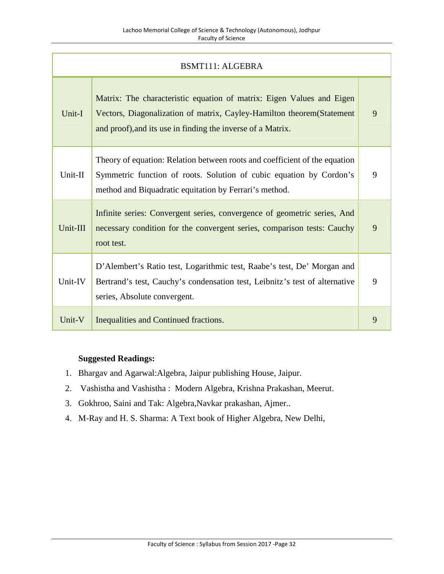|          | <b>BSMT111: ALGEBRA</b>                                                                                                                                                                                        |   |  |  |
|----------|----------------------------------------------------------------------------------------------------------------------------------------------------------------------------------------------------------------|---|--|--|
| Unit-I   | Matrix: The characteristic equation of matrix: Eigen Values and Eigen<br>Vectors, Diagonalization of matrix, Cayley-Hamilton theorem (Statement<br>and proof), and its use in finding the inverse of a Matrix. | 9 |  |  |
| Unit-II  | Theory of equation: Relation between roots and coefficient of the equation<br>Symmetric function of roots. Solution of cubic equation by Cordon's<br>method and Biquadratic equitation by Ferrari's method.    | 9 |  |  |
| Unit-III | Infinite series: Convergent series, convergence of geometric series, And<br>necessary condition for the convergent series, comparison tests: Cauchy<br>root test.                                              | 9 |  |  |
| Unit-IV  | D'Alembert's Ratio test, Logarithmic test, Raabe's test, De' Morgan and<br>Bertrand's test, Cauchy's condensation test, Leibnitz's test of alternative<br>series, Absolute convergent.                         | 9 |  |  |
| Unit-V   | Inequalities and Continued fractions.                                                                                                                                                                          | 9 |  |  |

- 1. Bhargav and Agarwal:Algebra, Jaipur publishing House, Jaipur.
- 2. Vashistha and Vashistha : Modern Algebra, Krishna Prakashan, Meerut.
- 3. Gokhroo, Saini and Tak: Algebra,Navkar prakashan, Ajmer..
- 4. M-Ray and H. S. Sharma: A Text book of Higher Algebra, New Delhi,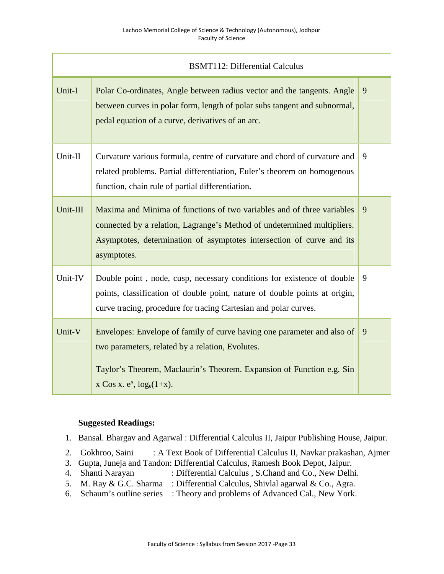| <b>BSMT112: Differential Calculus</b> |                                                                                                                                                                                                                                           |   |  |  |
|---------------------------------------|-------------------------------------------------------------------------------------------------------------------------------------------------------------------------------------------------------------------------------------------|---|--|--|
| Unit-I                                | Polar Co-ordinates, Angle between radius vector and the tangents. Angle<br>between curves in polar form, length of polar subs tangent and subnormal,<br>pedal equation of a curve, derivatives of an arc.                                 | 9 |  |  |
| Unit-II                               | Curvature various formula, centre of curvature and chord of curvature and<br>related problems. Partial differentiation, Euler's theorem on homogenous<br>function, chain rule of partial differentiation.                                 | 9 |  |  |
| Unit-III                              | Maxima and Minima of functions of two variables and of three variables<br>connected by a relation, Lagrange's Method of undetermined multipliers.<br>Asymptotes, determination of asymptotes intersection of curve and its<br>asymptotes. | 9 |  |  |
| Unit-IV                               | Double point, node, cusp, necessary conditions for existence of double<br>points, classification of double point, nature of double points at origin,<br>curve tracing, procedure for tracing Cartesian and polar curves.                  | 9 |  |  |
| Unit-V                                | Envelopes: Envelope of family of curve having one parameter and also of<br>two parameters, related by a relation, Evolutes.<br>Taylor's Theorem, Maclaurin's Theorem. Expansion of Function e.g. Sin<br>x Cos x. $e^x$ , $log_e(1+x)$ .   | 9 |  |  |

- 1. Bansal. Bhargav and Agarwal : Differential Calculus II, Jaipur Publishing House, Jaipur.
- 2. Gokhroo, Saini : A Text Book of Differential Calculus II, Navkar prakashan, Ajmer
- 3. Gupta, Juneja and Tandon: Differential Calculus, Ramesh Book Depot, Jaipur.
- : Differential Calculus , S.Chand and Co., New Delhi.
- 5. M. Ray & G.C. Sharma : Differential Calculus, Shivlal agarwal & Co., Agra.
- 6. Schaum's outline series : Theory and problems of Advanced Cal., New York.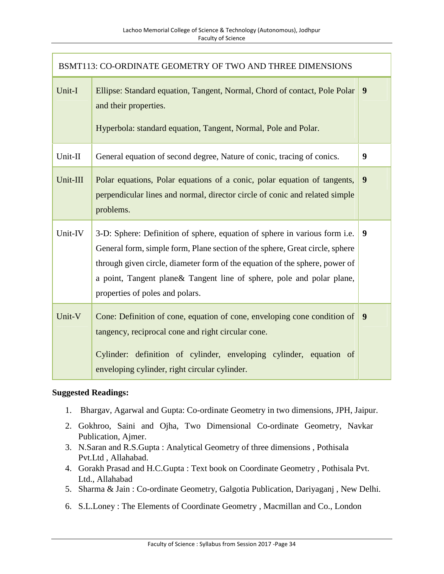| BSMT113: CO-ORDINATE GEOMETRY OF TWO AND THREE DIMENSIONS |                                                                                                                                                                                                                                                                                                                                                        |                  |  |  |
|-----------------------------------------------------------|--------------------------------------------------------------------------------------------------------------------------------------------------------------------------------------------------------------------------------------------------------------------------------------------------------------------------------------------------------|------------------|--|--|
| Unit-I                                                    | Ellipse: Standard equation, Tangent, Normal, Chord of contact, Pole Polar<br>and their properties.<br>Hyperbola: standard equation, Tangent, Normal, Pole and Polar.                                                                                                                                                                                   | 9                |  |  |
| Unit-II                                                   | General equation of second degree, Nature of conic, tracing of conics.                                                                                                                                                                                                                                                                                 | $\boldsymbol{9}$ |  |  |
| Unit-III                                                  | Polar equations, Polar equations of a conic, polar equation of tangents,<br>perpendicular lines and normal, director circle of conic and related simple<br>problems.                                                                                                                                                                                   | 9                |  |  |
| Unit-IV                                                   | 3-D: Sphere: Definition of sphere, equation of sphere in various form i.e.<br>General form, simple form, Plane section of the sphere, Great circle, sphere<br>through given circle, diameter form of the equation of the sphere, power of<br>a point, Tangent plane & Tangent line of sphere, pole and polar plane,<br>properties of poles and polars. | 9                |  |  |
| Unit-V                                                    | Cone: Definition of cone, equation of cone, enveloping cone condition of<br>tangency, reciprocal cone and right circular cone.<br>Cylinder: definition of cylinder, enveloping cylinder, equation of<br>enveloping cylinder, right circular cylinder.                                                                                                  | 9                |  |  |

- 1. Bhargav, Agarwal and Gupta: Co-ordinate Geometry in two dimensions, JPH, Jaipur.
- 2. Gokhroo, Saini and Ojha, Two Dimensional Co-ordinate Geometry, Navkar Publication, Ajmer.
- 3. N.Saran and R.S.Gupta : Analytical Geometry of three dimensions , Pothisala Pvt.Ltd , Allahabad.
- 4. Gorakh Prasad and H.C.Gupta : Text book on Coordinate Geometry , Pothisala Pvt. Ltd., Allahabad
- 5. Sharma & Jain : Co-ordinate Geometry, Galgotia Publication, Dariyaganj , New Delhi.
- 6. S.L.Loney : The Elements of Coordinate Geometry , Macmillan and Co., London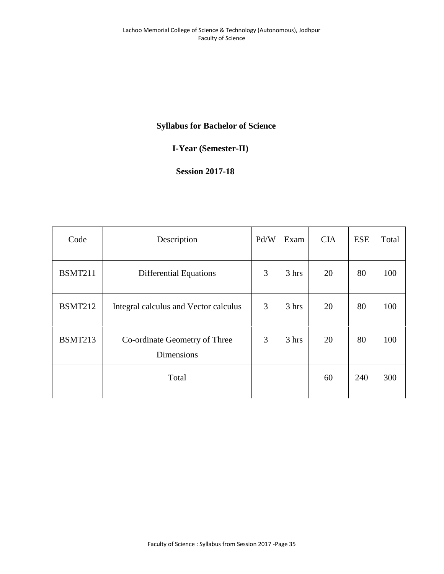# **Syllabus for Bachelor of Science**

# **I-Year (Semester-II)**

# **Session 2017-18**

| Code           | Description                                        | Pd/W | Exam  | <b>CIA</b> | <b>ESE</b> | Total |
|----------------|----------------------------------------------------|------|-------|------------|------------|-------|
| <b>BSMT211</b> | <b>Differential Equations</b>                      | 3    | 3 hrs | 20         | 80         | 100   |
| <b>BSMT212</b> | Integral calculus and Vector calculus              | 3    | 3 hrs | 20         | 80         | 100   |
| <b>BSMT213</b> | Co-ordinate Geometry of Three<br><b>Dimensions</b> | 3    | 3 hrs | 20         | 80         | 100   |
|                | Total                                              |      |       | 60         | 240        | 300   |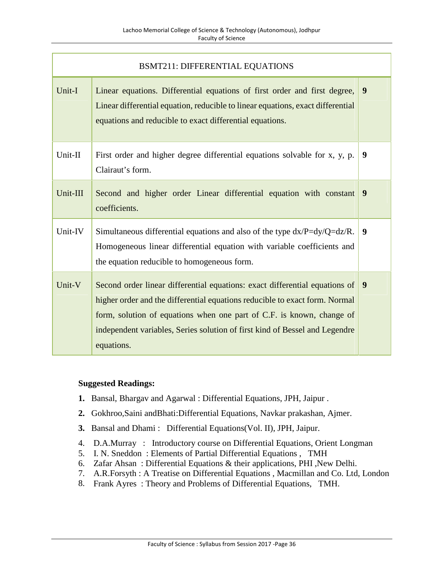| <b>BSMT211: DIFFERENTIAL EQUATIONS</b> |                                                                                                                                                                                                                                                                                                                                  |   |  |  |
|----------------------------------------|----------------------------------------------------------------------------------------------------------------------------------------------------------------------------------------------------------------------------------------------------------------------------------------------------------------------------------|---|--|--|
| Unit-I                                 | Linear equations. Differential equations of first order and first degree,<br>Linear differential equation, reducible to linear equations, exact differential<br>equations and reducible to exact differential equations.                                                                                                         | 9 |  |  |
| Unit-II                                | First order and higher degree differential equations solvable for x, y, p.<br>Clairaut's form.                                                                                                                                                                                                                                   | 9 |  |  |
| Unit-III                               | Second and higher order Linear differential equation with constant<br>coefficients.                                                                                                                                                                                                                                              | 9 |  |  |
| Unit-IV                                | Simultaneous differential equations and also of the type $dx/P = dy/Q = dz/R$ .<br>Homogeneous linear differential equation with variable coefficients and<br>the equation reducible to homogeneous form.                                                                                                                        | 9 |  |  |
| Unit-V                                 | Second order linear differential equations: exact differential equations of<br>higher order and the differential equations reducible to exact form. Normal<br>form, solution of equations when one part of C.F. is known, change of<br>independent variables, Series solution of first kind of Bessel and Legendre<br>equations. | 9 |  |  |

- **1.** Bansal, Bhargav and Agarwal : Differential Equations, JPH, Jaipur .
- **2.** Gokhroo,Saini andBhati:Differential Equations, Navkar prakashan, Ajmer.
- **3.** Bansal and Dhami : Differential Equations(Vol. II), JPH, Jaipur.
- 4. D.A.Murray : Introductory course on Differential Equations, Orient Longman
- 5. I. N. Sneddon : Elements of Partial Differential Equations , TMH
- 6. Zafar Ahsan : Differential Equations & their applications, PHI ,New Delhi.
- 7. A.R.Forsyth : A Treatise on Differential Equations , Macmillan and Co. Ltd, London
- 8. Frank Ayres : Theory and Problems of Differential Equations, TMH.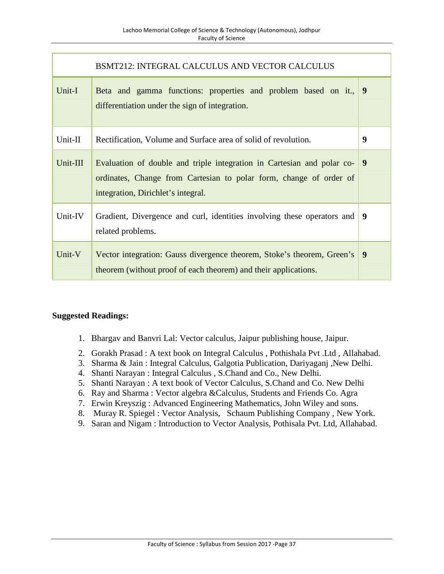|          | BSMT212: INTEGRAL CALCULUS AND VECTOR CALCULUS                                                                                                                                     |   |
|----------|------------------------------------------------------------------------------------------------------------------------------------------------------------------------------------|---|
| Unit-I   | Beta and gamma functions: properties and problem based on it.,<br>differentiation under the sign of integration.                                                                   | 9 |
| Unit-II  | Rectification, Volume and Surface area of solid of revolution.                                                                                                                     | 9 |
| Unit-III | Evaluation of double and triple integration in Cartesian and polar co-<br>ordinates, Change from Cartesian to polar form, change of order of<br>integration, Dirichlet's integral. | 9 |
| Unit-IV  | Gradient, Divergence and curl, identities involving these operators and<br>related problems.                                                                                       | 9 |
| Unit-V   | Vector integration: Gauss divergence theorem, Stoke's theorem, Green's<br>theorem (without proof of each theorem) and their applications.                                          | 9 |

- 1. Bhargav and Banvri Lal: Vector calculus, Jaipur publishing house, Jaipur.
- 2. Gorakh Prasad : A text book on Integral Calculus , Pothishala Pvt .Ltd , Allahabad.
- 3. Sharma & Jain : Integral Calculus, Galgotia Publication, Dariyaganj ,New Delhi.
- 4. Shanti Narayan : Integral Calculus , S.Chand and Co., New Delhi.
- 5. Shanti Narayan : A text book of Vector Calculus, S.Chand and Co. New Delhi
- 6. Ray and Sharma : Vector algebra &Calculus, Students and Friends Co. Agra
- 7. Erwin Kreyszig : Advanced Engineering Mathematics, John Wiley and sons.
- 8. Muray R. Spiegel : Vector Analysis, Schaum Publishing Company , New York.
- 9. Saran and Nigam : Introduction to Vector Analysis, Pothisala Pvt. Ltd, Allahabad.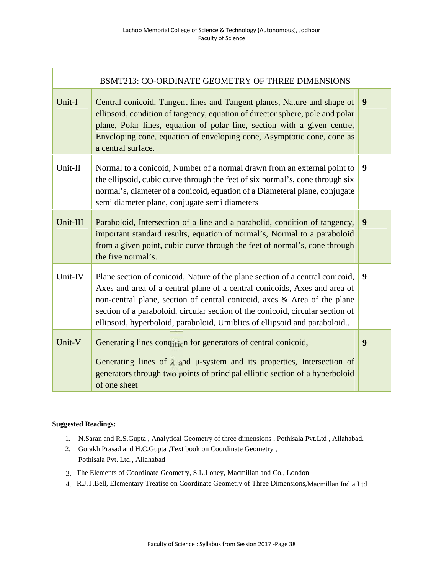|          | BSMT213: CO-ORDINATE GEOMETRY OF THREE DIMENSIONS                                                                                                                                                                                                                                                                                                                                                    |   |
|----------|------------------------------------------------------------------------------------------------------------------------------------------------------------------------------------------------------------------------------------------------------------------------------------------------------------------------------------------------------------------------------------------------------|---|
| Unit-I   | Central conicoid, Tangent lines and Tangent planes, Nature and shape of<br>ellipsoid, condition of tangency, equation of director sphere, pole and polar<br>plane, Polar lines, equation of polar line, section with a given centre,<br>Enveloping cone, equation of enveloping cone, Asymptotic cone, cone as<br>a central surface.                                                                 | 9 |
| Unit-II  | Normal to a conicoid, Number of a normal drawn from an external point to<br>the ellipsoid, cubic curve through the feet of six normal's, cone through six<br>normal's, diameter of a conicoid, equation of a Diameteral plane, conjugate<br>semi diameter plane, conjugate semi diameters                                                                                                            | 9 |
| Unit-III | Paraboloid, Intersection of a line and a parabolid, condition of tangency,<br>important standard results, equation of normal's, Normal to a paraboloid<br>from a given point, cubic curve through the feet of normal's, cone through<br>the five normal's.                                                                                                                                           | 9 |
| Unit-IV  | Plane section of conicoid, Nature of the plane section of a central conicoid,<br>Axes and area of a central plane of a central conicoids, Axes and area of<br>non-central plane, section of central conicoid, axes & Area of the plane<br>section of a paraboloid, circular section of the conicoid, circular section of<br>ellipsoid, hyperboloid, paraboloid, Umiblics of ellipsoid and paraboloid | 9 |
| Unit-V   | Generating lines condition for generators of central conicoid,<br>Generating lines of $\lambda$ and $\mu$ -system and its properties, Intersection of<br>generators through two points of principal elliptic section of a hyperboloid<br>of one sheet                                                                                                                                                | 9 |

- 1. N.Saran and R.S.Gupta , Analytical Geometry of three dimensions , Pothisala Pvt.Ltd , Allahabad.
- 2. Gorakh Prasad and H.C.Gupta ,Text book on Coordinate Geometry , Pothisala Pvt. Ltd., Allahabad
- 3. The Elements of Coordinate Geometry, S.L.Loney, Macmillan and Co., London
- 4. R.J.T.Bell, Elementary Treatise on Coordinate Geometry of Three Dimensions,Macmillan India Ltd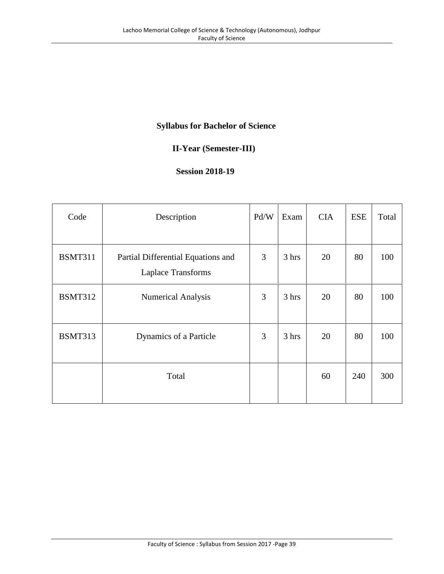# **Syllabus for Bachelor of Science**

# **II-Year (Semester-III)**

### **Session 2018-19**

| Code           | Description                                              | Pd/W | Exam  | <b>CIA</b> | <b>ESE</b> | Total |
|----------------|----------------------------------------------------------|------|-------|------------|------------|-------|
| <b>BSMT311</b> | Partial Differential Equations and<br>Laplace Transforms | 3    | 3 hrs | 20         | 80         | 100   |
| <b>BSMT312</b> | <b>Numerical Analysis</b>                                | 3    | 3 hrs | 20         | 80         | 100   |
| <b>BSMT313</b> | Dynamics of a Particle                                   | 3    | 3 hrs | 20         | 80         | 100   |
|                | Total                                                    |      |       | 60         | 240        | 300   |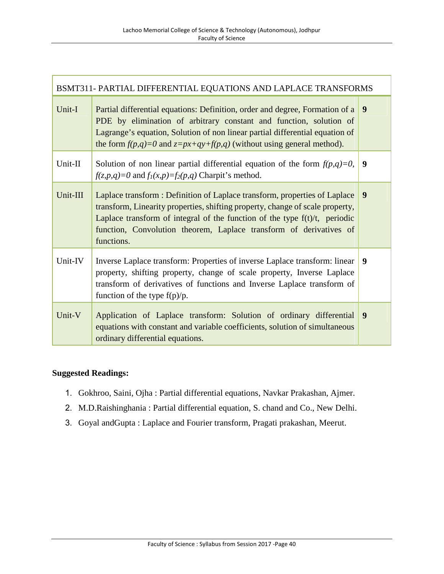| BSMT311- PARTIAL DIFFERENTIAL EQUATIONS AND LAPLACE TRANSFORMS |                                                                                                                                                                                                                                                                                                                                  |   |  |
|----------------------------------------------------------------|----------------------------------------------------------------------------------------------------------------------------------------------------------------------------------------------------------------------------------------------------------------------------------------------------------------------------------|---|--|
| Unit-I                                                         | Partial differential equations: Definition, order and degree, Formation of a<br>PDE by elimination of arbitrary constant and function, solution of<br>Lagrange's equation, Solution of non linear partial differential equation of<br>the form $f(p,q)=0$ and $z=px+qy+f(p,q)$ (without using general method).                   | 9 |  |
| Unit-II                                                        | Solution of non linear partial differential equation of the form $f(p,q)=0$ ,<br>$f(z,p,q)=0$ and $f_1(x,p)=f_2(p,q)$ Charpit's method.                                                                                                                                                                                          | 9 |  |
| Unit-III                                                       | Laplace transform : Definition of Laplace transform, properties of Laplace<br>transform, Linearity properties, shifting property, change of scale property,<br>Laplace transform of integral of the function of the type $f(t)/t$ , periodic<br>function, Convolution theorem, Laplace transform of derivatives of<br>functions. | 9 |  |
| Unit-IV                                                        | Inverse Laplace transform: Properties of inverse Laplace transform: linear<br>property, shifting property, change of scale property, Inverse Laplace<br>transform of derivatives of functions and Inverse Laplace transform of<br>function of the type $f(p)/p$ .                                                                | 9 |  |
| Unit-V                                                         | Application of Laplace transform: Solution of ordinary differential<br>equations with constant and variable coefficients, solution of simultaneous<br>ordinary differential equations.                                                                                                                                           | 9 |  |

- 1. Gokhroo, Saini, Ojha : Partial differential equations, Navkar Prakashan, Ajmer.
- 2. M.D.Raishinghania : Partial differential equation, S. chand and Co., New Delhi.
- 3. Goyal andGupta : Laplace and Fourier transform, Pragati prakashan, Meerut.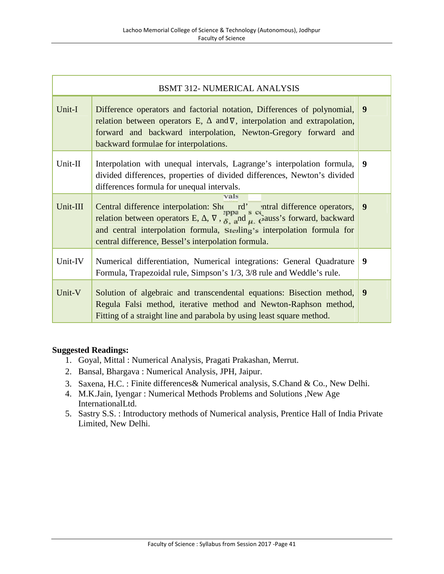| <b>BSMT 312- NUMERICAL ANALYSIS</b> |                                                                                                                                                                                                                                                                                                                                         |   |  |  |
|-------------------------------------|-----------------------------------------------------------------------------------------------------------------------------------------------------------------------------------------------------------------------------------------------------------------------------------------------------------------------------------------|---|--|--|
| Unit-I                              | Difference operators and factorial notation, Differences of polynomial,<br>relation between operators E, and $\nabla$ , interpolation and extrapolation,<br>forward and backward interpolation, Newton-Gregory forward and<br>backward formulae for interpolations.                                                                     | 9 |  |  |
| Unit-II                             | Interpolation with unequal intervals, Lagrange's interpolation formula,<br>divided differences, properties of divided differences, Newton's divided<br>differences formula for unequal intervals.                                                                                                                                       | 9 |  |  |
| Unit-III                            | vals<br>Central difference interpolation: She rd' antral difference operators,<br>relation between operators E, $\nabla$ , $\vec{\sigma}$ , and $\vec{\mu}$ , $\vec{\sigma}$ auss's forward, backward<br>and central interpolation formula, Sterling's interpolation formula for<br>central difference, Bessel's interpolation formula. | 9 |  |  |
| Unit-IV                             | Numerical differentiation, Numerical integrations: General Quadrature<br>Formula, Trapezoidal rule, Simpson's 1/3, 3/8 rule and Weddle's rule.                                                                                                                                                                                          | 9 |  |  |
| Unit-V                              | Solution of algebraic and transcendental equations: Bisection method,<br>Regula Falsi method, iterative method and Newton-Raphson method,<br>Fitting of a straight line and parabola by using least square method.                                                                                                                      | 9 |  |  |

- 1. Goyal, Mittal : Numerical Analysis, Pragati Prakashan, Merrut.
- 2. Bansal, Bhargava : Numerical Analysis, JPH, Jaipur.
- 3. Saxena, H.C. : Finite differences& Numerical analysis, S.Chand & Co., New Delhi.
- 4. M.K.Jain, Iyengar : Numerical Methods Problems and Solutions ,New Age InternationalLtd.
- 5. Sastry S.S. : Introductory methods of Numerical analysis, Prentice Hall of India Private Limited, New Delhi.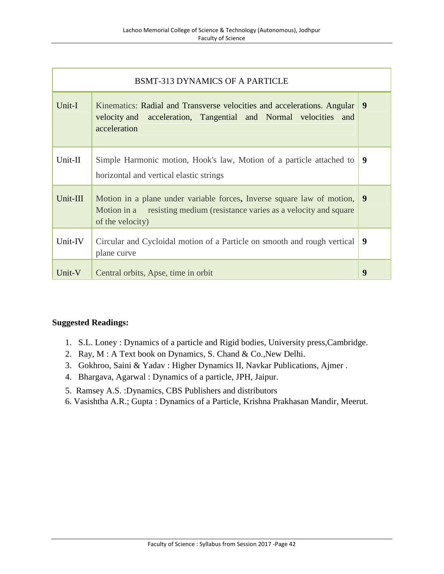| <b>BSMT-313 DYNAMICS OF A PARTICLE</b> |                                                                                                                                                                           |   |  |  |
|----------------------------------------|---------------------------------------------------------------------------------------------------------------------------------------------------------------------------|---|--|--|
| Unit-I                                 | Kinematics: Radial and Transverse velocities and accelerations. Angular<br>velocity and acceleration, Tangential and Normal velocities and<br>acceleration                | 9 |  |  |
| Unit-II                                | Simple Harmonic motion, Hook's law, Motion of a particle attached to<br>horizontal and vertical elastic strings                                                           | 9 |  |  |
| Unit-III                               | Motion in a plane under variable forces, Inverse square law of motion,<br>resisting medium (resistance varies as a velocity and square<br>Motion in a<br>of the velocity) | 9 |  |  |
| Unit-IV                                | Circular and Cycloidal motion of a Particle on smooth and rough vertical<br>plane curve                                                                                   | 9 |  |  |
| Unit-V                                 | Central orbits, Apse, time in orbit                                                                                                                                       | 9 |  |  |

- 1. S.L. Loney : Dynamics of a particle and Rigid bodies, University press,Cambridge.
- 2. Ray, M : A Text book on Dynamics, S. Chand & Co.,New Delhi.
- 3. Gokhroo, Saini & Yadav : Higher Dynamics II, Navkar Publications, Ajmer .
- 4. Bhargava, Agarwal : Dynamics of a particle, JPH, Jaipur.
- 5. Ramsey A.S. :Dynamics, CBS Publishers and distributors
- 6. Vasishtha A.R.; Gupta : Dynamics of a Particle, Krishna Prakhasan Mandir, Meerut.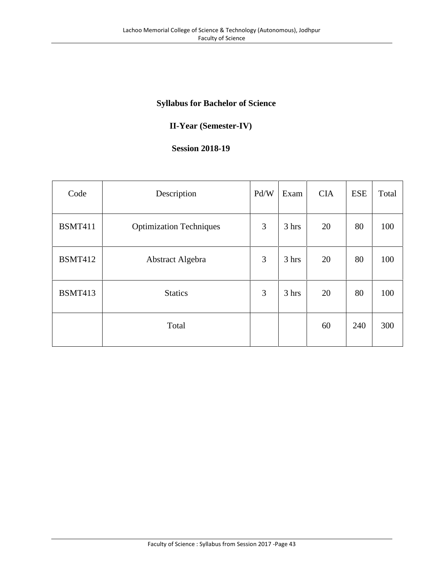# **Syllabus for Bachelor of Science**

# **II-Year (Semester-IV)**

#### **Session 2018-19**

| Code           | Description                    | Pd/W | Exam  | <b>CIA</b> | <b>ESE</b> | Total |
|----------------|--------------------------------|------|-------|------------|------------|-------|
| <b>BSMT411</b> | <b>Optimization Techniques</b> | 3    | 3 hrs | 20         | 80         | 100   |
| <b>BSMT412</b> | Abstract Algebra               | 3    | 3 hrs | 20         | 80         | 100   |
| <b>BSMT413</b> | <b>Statics</b>                 | 3    | 3 hrs | 20         | 80         | 100   |
|                | Total                          |      |       | 60         | 240        | 300   |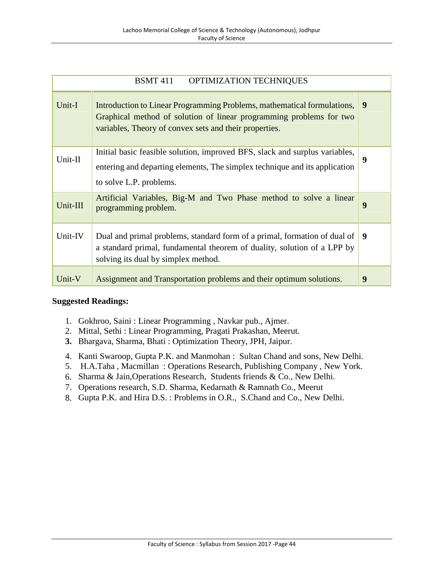| <b>BSMT</b> 411<br><b>OPTIMIZATION TECHNIQUES</b> |                                                                                                                                                                                                          |   |  |  |
|---------------------------------------------------|----------------------------------------------------------------------------------------------------------------------------------------------------------------------------------------------------------|---|--|--|
| Unit-I                                            | Introduction to Linear Programming Problems, mathematical formulations,<br>Graphical method of solution of linear programming problems for two<br>variables, Theory of convex sets and their properties. | 9 |  |  |
| Unit-II                                           | Initial basic feasible solution, improved BFS, slack and surplus variables,<br>entering and departing elements, The simplex technique and its application<br>to solve L.P. problems.                     | 9 |  |  |
| Unit-III                                          | Artificial Variables, Big-M and Two Phase method to solve a linear<br>programming problem.                                                                                                               | 9 |  |  |
| Unit-IV                                           | Dual and primal problems, standard form of a primal, formation of dual of<br>a standard primal, fundamental theorem of duality, solution of a LPP by<br>solving its dual by simplex method.              | 9 |  |  |
| Unit-V                                            | Assignment and Transportation problems and their optimum solutions.                                                                                                                                      | 9 |  |  |

- 1. Gokhroo, Saini : Linear Programming , Navkar pub., Ajmer.
- 2. Mittal, Sethi : Linear Programming, Pragati Prakashan, Meerut.
- **3.** Bhargava, Sharma, Bhati : Optimization Theory, JPH, Jaipur.
- 4. Kanti Swaroop, Gupta P.K. and Manmohan : Sultan Chand and sons, New Delhi.
- 5. H.A.Taha , Macmillan : Operations Research, Publishing Company , New York.
- 6. Sharma & Jain,Operations Research, Students friends & Co., New Delhi.
- 7. Operations research, S.D. Sharma, Kedarnath & Ramnath Co., Meerut
- 8. Gupta P.K. and Hira D.S. : Problems in O.R., S.Chand and Co., New Delhi.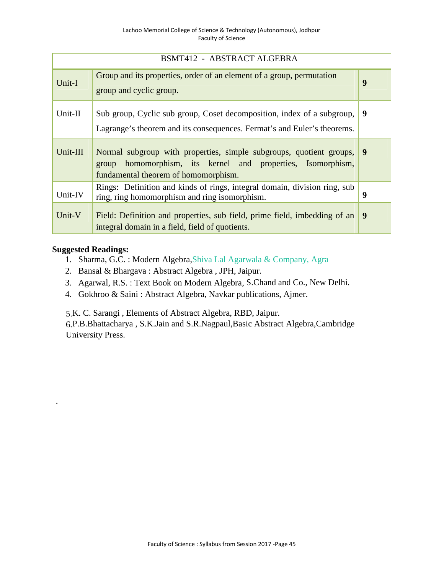| <b>BSMT412 - ABSTRACT ALGEBRA</b> |                                                                                                                                                                               |   |  |  |
|-----------------------------------|-------------------------------------------------------------------------------------------------------------------------------------------------------------------------------|---|--|--|
| Unit-I                            | Group and its properties, order of an element of a group, permutation<br>group and cyclic group.                                                                              | 9 |  |  |
| Unit-II                           | Sub group, Cyclic sub group, Coset decomposition, index of a subgroup,<br>Lagrange's theorem and its consequences. Fermat's and Euler's theorems.                             | 9 |  |  |
| Unit-III                          | Normal subgroup with properties, simple subgroups, quotient groups,<br>homomorphism, its kernel and properties, Isomorphism,<br>group<br>fundamental theorem of homomorphism. | 9 |  |  |
| Unit-IV                           | Rings: Definition and kinds of rings, integral domain, division ring, sub<br>ring, ring homomorphism and ring isomorphism.                                                    | 9 |  |  |
| Unit-V                            | Field: Definition and properties, sub field, prime field, imbedding of an<br>integral domain in a field, field of quotients.                                                  | 9 |  |  |

.

- 1. Sharma, G.C. : Modern Algebra,Shiva Lal Agarwala & Company, Agra
- 2. Bansal & Bhargava : Abstract Algebra , JPH, Jaipur.
- 3. Agarwal, R.S. : Text Book on Modern Algebra, S.Chand and Co., New Delhi.
- 4. Gokhroo & Saini : Abstract Algebra, Navkar publications, Ajmer.

5.K. C. Sarangi , Elements of Abstract Algebra, RBD, Jaipur.

6.P.B.Bhattacharya , S.K.Jain and S.R.Nagpaul,Basic Abstract Algebra,Cambridge University Press.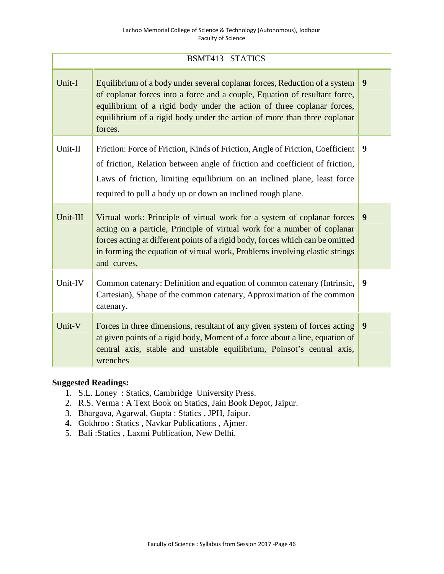| <b>BSMT413 STATICS</b> |                                                                                                                                                                                                                                                                                                                                     |   |  |  |
|------------------------|-------------------------------------------------------------------------------------------------------------------------------------------------------------------------------------------------------------------------------------------------------------------------------------------------------------------------------------|---|--|--|
| Unit-I                 | Equilibrium of a body under several coplanar forces, Reduction of a system<br>of coplanar forces into a force and a couple, Equation of resultant force,<br>equilibrium of a rigid body under the action of three coplanar forces,<br>equilibrium of a rigid body under the action of more than three coplanar<br>forces.           | 9 |  |  |
| Unit-II                | Friction: Force of Friction, Kinds of Friction, Angle of Friction, Coefficient<br>of friction, Relation between angle of friction and coefficient of friction,<br>Laws of friction, limiting equilibrium on an inclined plane, least force<br>required to pull a body up or down an inclined rough plane.                           | 9 |  |  |
| Unit-III               | Virtual work: Principle of virtual work for a system of coplanar forces<br>acting on a particle, Principle of virtual work for a number of coplanar<br>forces acting at different points of a rigid body, forces which can be omitted<br>in forming the equation of virtual work, Problems involving elastic strings<br>and curves, | 9 |  |  |
| Unit-IV                | Common catenary: Definition and equation of common catenary (Intrinsic,<br>Cartesian), Shape of the common catenary, Approximation of the common<br>catenary.                                                                                                                                                                       | 9 |  |  |
| Unit-V                 | Forces in three dimensions, resultant of any given system of forces acting<br>at given points of a rigid body, Moment of a force about a line, equation of<br>central axis, stable and unstable equilibrium, Poinsot's central axis,<br>wrenches                                                                                    | 9 |  |  |

- 1. S.L. Loney : Statics, Cambridge University Press.
- 2. R.S. Verma : A Text Book on Statics, Jain Book Depot, Jaipur.
- 3. Bhargava, Agarwal, Gupta : Statics , JPH, Jaipur.
- **4.** Gokhroo : Statics , Navkar Publications , Ajmer.
- 5. Bali :Statics , Laxmi Publication, New Delhi.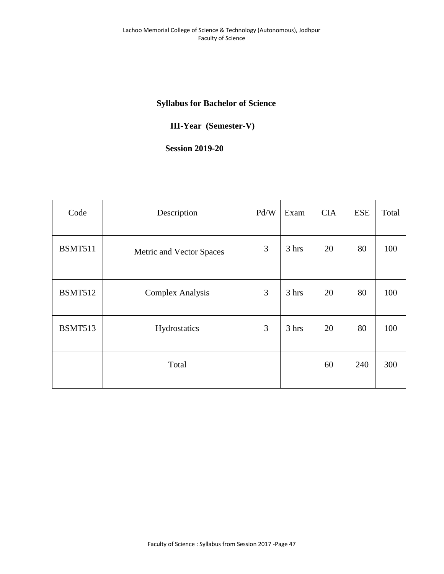# **Syllabus for Bachelor of Science**

# **III-Year (Semester-V)**

# **Session 2019-20**

| Code           | Description              | Pd/W | Exam  | <b>CIA</b> | <b>ESE</b> | Total |
|----------------|--------------------------|------|-------|------------|------------|-------|
| <b>BSMT511</b> | Metric and Vector Spaces | 3    | 3 hrs | 20         | 80         | 100   |
| <b>BSMT512</b> | <b>Complex Analysis</b>  | 3    | 3 hrs | 20         | 80         | 100   |
| <b>BSMT513</b> | Hydrostatics             | 3    | 3 hrs | 20         | 80         | 100   |
|                | Total                    |      |       | 60         | 240        | 300   |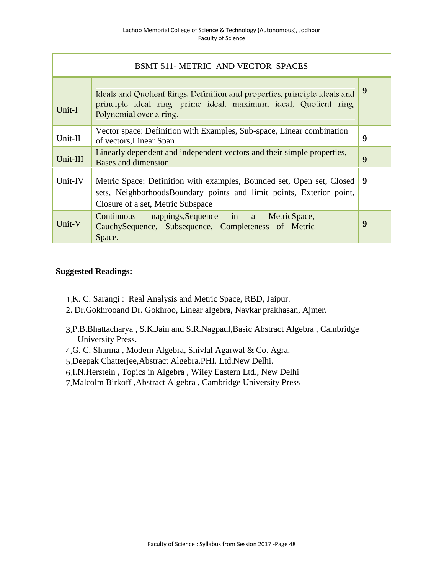| BSMT 511-METRIC AND VECTOR SPACES |                                                                                                                                                                                    |   |  |  |
|-----------------------------------|------------------------------------------------------------------------------------------------------------------------------------------------------------------------------------|---|--|--|
| Unit-I                            | Ideals and Quotient Rings. Definition and properties, principle ideals and<br>principle ideal ring, prime ideal, maximum ideal, Quotient ring,<br>Polynomial over a ring.          | 9 |  |  |
| Unit-II                           | Vector space: Definition with Examples, Sub-space, Linear combination<br>of vectors, Linear Span                                                                                   | 9 |  |  |
| Unit-III                          | Linearly dependent and independent vectors and their simple properties,<br>Bases and dimension                                                                                     | 9 |  |  |
| Unit-IV                           | Metric Space: Definition with examples, Bounded set, Open set, Closed<br>sets, NeighborhoodsBoundary points and limit points, Exterior point,<br>Closure of a set, Metric Subspace | 9 |  |  |
| Unit-V                            | Continuous mappings, Sequence in a MetricSpace,<br>CauchySequence, Subsequence, Completeness of Metric<br>Space.                                                                   | 9 |  |  |

- 1.K. C. Sarangi : Real Analysis and Metric Space, RBD, Jaipur.
- 2. Dr.Gokhrooand Dr. Gokhroo, Linear algebra, Navkar prakhasan, Ajmer.
- 3.P.B.Bhattacharya , S.K.Jain and S.R.Nagpaul,Basic Abstract Algebra , Cambridge University Press.
- 4.G. C. Sharma , Modern Algebra, Shivlal Agarwal & Co. Agra.
- 5.Deepak Chatterjee,Abstract Algebra.PHI. Ltd.New Delhi.
- 6.I.N.Herstein , Topics in Algebra , Wiley Eastern Ltd., New Delhi
- 7.Malcolm Birkoff ,Abstract Algebra , Cambridge University Press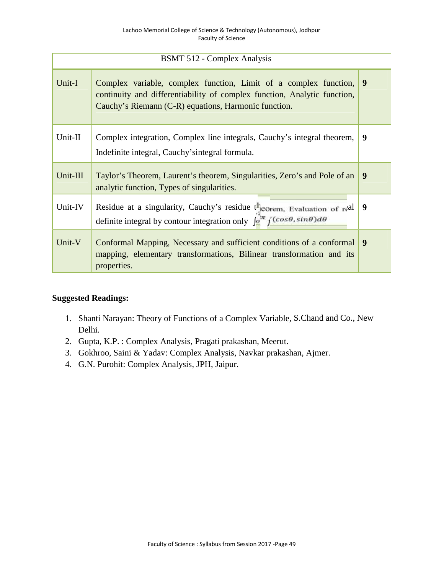| <b>BSMT 512 - Complex Analysis</b> |                                                                                                                                                                                                      |   |  |  |
|------------------------------------|------------------------------------------------------------------------------------------------------------------------------------------------------------------------------------------------------|---|--|--|
| Unit-I                             | Complex variable, complex function, Limit of a complex function,<br>continuity and differentiability of complex function, Analytic function,<br>Cauchy's Riemann (C-R) equations, Harmonic function. | 9 |  |  |
| Unit-II                            | Complex integration, Complex line integrals, Cauchy's integral theorem,<br>Indefinite integral, Cauchy's integral formula.                                                                           | 9 |  |  |
| Unit-III                           | Taylor's Theorem, Laurent's theorem, Singularities, Zero's and Pole of an<br>analytic function, Types of singularities.                                                                              | 9 |  |  |
| Unit-IV                            | Residue at a singularity, Cauchy's residue theorem, Evaluation of real<br>definite integral by contour integration only $\int_0^{2\pi} \int$ (cose, sine)de                                          | 9 |  |  |
| Unit-V                             | Conformal Mapping, Necessary and sufficient conditions of a conformal<br>mapping, elementary transformations, Bilinear transformation and its<br>properties.                                         | 9 |  |  |

- 1. Shanti Narayan: Theory of Functions of a Complex Variable, S.Chand and Co., New Delhi.
- 2. Gupta, K.P. : Complex Analysis, Pragati prakashan, Meerut.
- 3. Gokhroo, Saini & Yadav: Complex Analysis, Navkar prakashan, Ajmer.
- 4. G.N. Purohit: Complex Analysis, JPH, Jaipur.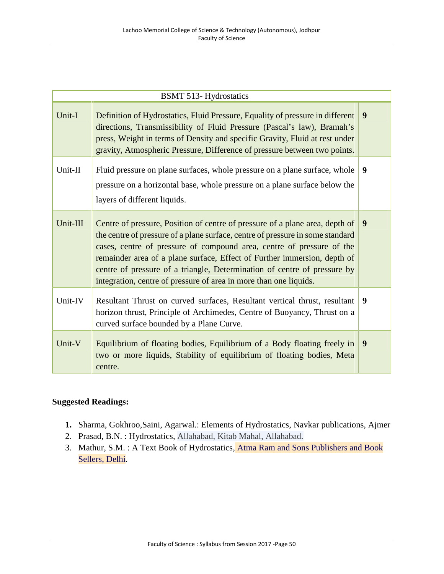|          | <b>BSMT 513-Hydrostatics</b>                                                                                                                                                                                                                                                                                                                                                                                                                                         |                  |
|----------|----------------------------------------------------------------------------------------------------------------------------------------------------------------------------------------------------------------------------------------------------------------------------------------------------------------------------------------------------------------------------------------------------------------------------------------------------------------------|------------------|
| Unit-I   | Definition of Hydrostatics, Fluid Pressure, Equality of pressure in different<br>directions, Transmissibility of Fluid Pressure (Pascal's law), Bramah's<br>press, Weight in terms of Density and specific Gravity, Fluid at rest under<br>gravity, Atmospheric Pressure, Difference of pressure between two points.                                                                                                                                                 | $\boldsymbol{9}$ |
| Unit-II  | Fluid pressure on plane surfaces, whole pressure on a plane surface, whole<br>pressure on a horizontal base, whole pressure on a plane surface below the<br>layers of different liquids.                                                                                                                                                                                                                                                                             | 9                |
| Unit-III | Centre of pressure, Position of centre of pressure of a plane area, depth of<br>the centre of pressure of a plane surface, centre of pressure in some standard<br>cases, centre of pressure of compound area, centre of pressure of the<br>remainder area of a plane surface, Effect of Further immersion, depth of<br>centre of pressure of a triangle, Determination of centre of pressure by<br>integration, centre of pressure of area in more than one liquids. | $\boldsymbol{9}$ |
| Unit-IV  | Resultant Thrust on curved surfaces, Resultant vertical thrust, resultant<br>horizon thrust, Principle of Archimedes, Centre of Buoyancy, Thrust on a<br>curved surface bounded by a Plane Curve.                                                                                                                                                                                                                                                                    | 9                |
| Unit-V   | Equilibrium of floating bodies, Equilibrium of a Body floating freely in<br>two or more liquids, Stability of equilibrium of floating bodies, Meta<br>centre.                                                                                                                                                                                                                                                                                                        | 9                |

- **1.** Sharma, Gokhroo,Saini, Agarwal.: Elements of Hydrostatics, Navkar publications, Ajmer
- 2. Prasad, B.N. : Hydrostatics, Allahabad, Kitab Mahal, Allahabad.
- 3. Mathur, S.M. : A Text Book of Hydrostatics, Atma Ram and Sons Publishers and Book Sellers, Delhi.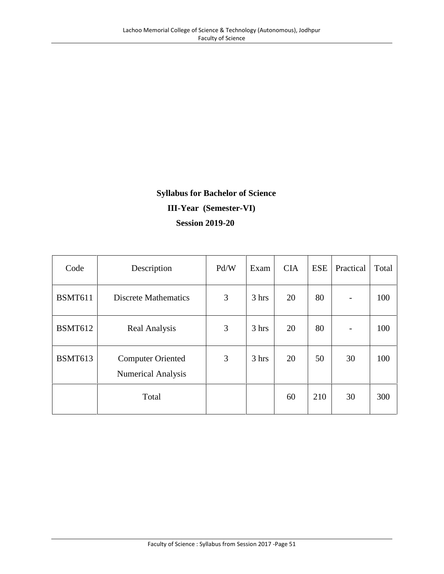# **Syllabus for Bachelor of Science III-Year (Semester-VI) Session 2019-20**

| Code           | Description                                           | Pd/W | Exam  | <b>CIA</b> | <b>ESE</b> | Practical                | Total |
|----------------|-------------------------------------------------------|------|-------|------------|------------|--------------------------|-------|
| <b>BSMT611</b> | Discrete Mathematics                                  | 3    | 3 hrs | 20         | 80         | $\overline{\phantom{a}}$ | 100   |
| <b>BSMT612</b> | Real Analysis                                         | 3    | 3 hrs | 20         | 80         | $\overline{\phantom{a}}$ | 100   |
| <b>BSMT613</b> | <b>Computer Oriented</b><br><b>Numerical Analysis</b> | 3    | 3 hrs | 20         | 50         | 30                       | 100   |
|                | Total                                                 |      |       | 60         | 210        | 30                       | 300   |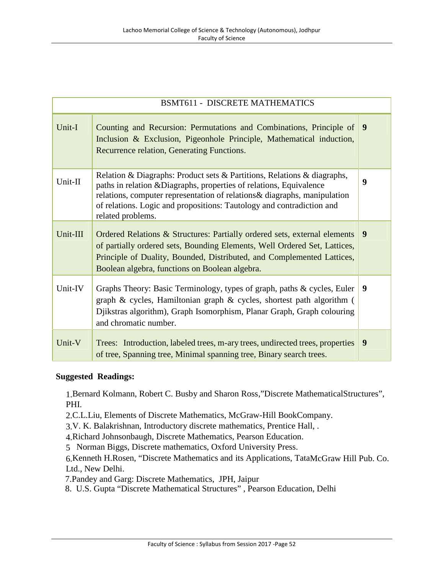|          | <b>BSMT611 - DISCRETE MATHEMATICS</b>                                                                                                                                                                                                                                                                                     |                  |
|----------|---------------------------------------------------------------------------------------------------------------------------------------------------------------------------------------------------------------------------------------------------------------------------------------------------------------------------|------------------|
| Unit-I   | Counting and Recursion: Permutations and Combinations, Principle of<br>Inclusion & Exclusion, Pigeonhole Principle, Mathematical induction,<br>Recurrence relation, Generating Functions.                                                                                                                                 | $\boldsymbol{9}$ |
| Unit-II  | Relation & Diagraphs: Product sets & Partitions, Relations & diagraphs,<br>paths in relation & Diagraphs, properties of relations, Equivalence<br>relations, computer representation of relations & diagraphs, manipulation<br>of relations. Logic and propositions: Tautology and contradiction and<br>related problems. | $\boldsymbol{9}$ |
| Unit-III | Ordered Relations & Structures: Partially ordered sets, external elements<br>of partially ordered sets, Bounding Elements, Well Ordered Set, Lattices,<br>Principle of Duality, Bounded, Distributed, and Complemented Lattices,<br>Boolean algebra, functions on Boolean algebra.                                        | 9                |
| Unit-IV  | Graphs Theory: Basic Terminology, types of graph, paths & cycles, Euler<br>graph & cycles, Hamiltonian graph & cycles, shortest path algorithm (<br>Djikstras algorithm), Graph Isomorphism, Planar Graph, Graph colouring<br>and chromatic number.                                                                       | 9                |
| Unit-V   | Trees: Introduction, labeled trees, m-ary trees, undirected trees, properties<br>of tree, Spanning tree, Minimal spanning tree, Binary search trees.                                                                                                                                                                      | 9                |

1.Bernard Kolmann, Robert C. Busby and Sharon Ross,"Discrete MathematicalStructures", PHI.

2.C.L.Liu, Elements of Discrete Mathematics, McGraw-Hill BookCompany.

3.V. K. Balakrishnan, Introductory discrete mathematics, Prentice Hall, .

4.Richard Johnsonbaugh, Discrete Mathematics, Pearson Education.

5 Norman Biggs, Discrete mathematics, Oxford University Press.

6.Kenneth H.Rosen, "Discrete Mathematics and its Applications, TataMcGraw Hill Pub. Co. Ltd., New Delhi.

7.Pandey and Garg: Discrete Mathematics, JPH, Jaipur

8. U.S. Gupta "Discrete Mathematical Structures" , Pearson Education, Delhi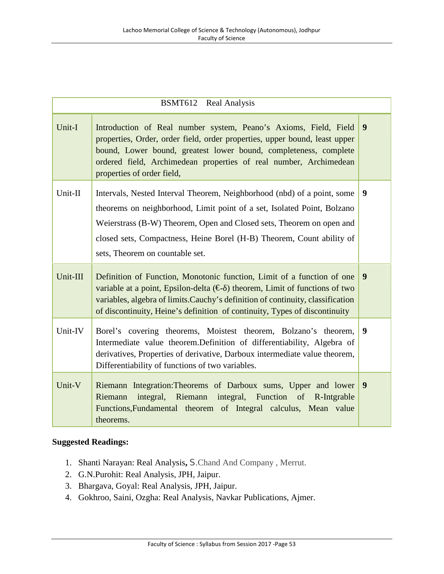|          | BSMT612 Real Analysis                                                                                                                                                                                                                                                                                                                  |   |
|----------|----------------------------------------------------------------------------------------------------------------------------------------------------------------------------------------------------------------------------------------------------------------------------------------------------------------------------------------|---|
| Unit-I   | Introduction of Real number system, Peano's Axioms, Field, Field<br>properties, Order, order field, order properties, upper bound, least upper<br>bound, Lower bound, greatest lower bound, completeness, complete<br>ordered field, Archimedean properties of real number, Archimedean<br>properties of order field,                  | 9 |
| Unit-II  | Intervals, Nested Interval Theorem, Neighborhood (nbd) of a point, some<br>theorems on neighborhood, Limit point of a set, Isolated Point, Bolzano<br>Weierstrass (B-W) Theorem, Open and Closed sets, Theorem on open and<br>closed sets, Compactness, Heine Borel (H-B) Theorem, Count ability of<br>sets, Theorem on countable set. | 9 |
| Unit-III | Definition of Function, Monotonic function, Limit of a function of one<br>variable at a point, Epsilon-delta $(\epsilon)$ theorem, Limit of functions of two<br>variables, algebra of limits. Cauchy's definition of continuity, classification<br>of discontinuity, Heine's definition of continuity, Types of discontinuity          | 9 |
| Unit-IV  | Borel's covering theorems, Moistest theorem, Bolzano's theorem,<br>Intermediate value theorem. Definition of differentiability, Algebra of<br>derivatives, Properties of derivative, Darboux intermediate value theorem,<br>Differentiability of functions of two variables.                                                           | 9 |
| Unit-V   | Riemann Integration: Theorems of Darboux sums, Upper and lower<br>integral, Riemann integral, Function of R-Intgrable<br>Riemann<br>Functions, Fundamental theorem of Integral calculus, Mean value<br>theorems.                                                                                                                       | 9 |

- 1. Shanti Narayan: Real Analysis**,** S.Chand And Company , Merrut.
- 2. G.N.Purohit: Real Analysis, JPH, Jaipur.
- 3. Bhargava, Goyal: Real Analysis, JPH, Jaipur.
- 4. Gokhroo, Saini, Ozgha: Real Analysis, Navkar Publications, Ajmer.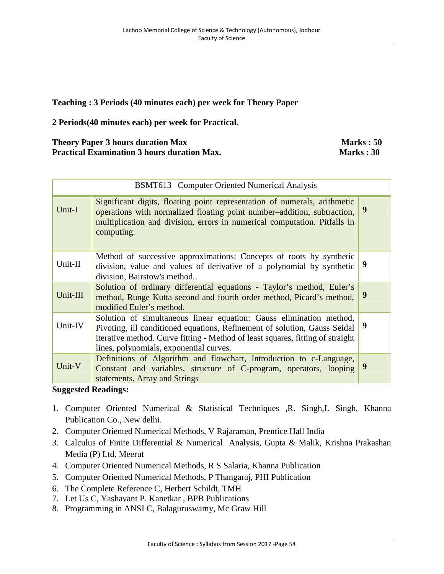#### **Teaching : 3 Periods (40 minutes each) per week for Theory Paper**

**2 Periods(40 minutes each) per week for Practical.**

#### **Theory Paper 3 hours duration Max Marks : 50 Practical Examination 3 hours duration Max. Marks : 30 Marks : 30**

| BSMT613 Computer Oriented Numerical Analysis |                                                                                                                                                                                                                                                                               |   |  |  |
|----------------------------------------------|-------------------------------------------------------------------------------------------------------------------------------------------------------------------------------------------------------------------------------------------------------------------------------|---|--|--|
| Unit-I                                       | Significant digits, floating point representation of numerals, arithmetic<br>operations with normalized floating point number-addition, subtraction,<br>multiplication and division, errors in numerical computation. Pitfalls in<br>computing.                               | 9 |  |  |
| Unit-II                                      | Method of successive approximations: Concepts of roots by synthetic<br>division, value and values of derivative of a polynomial by synthetic<br>division, Bairstow's method                                                                                                   | 9 |  |  |
| Unit-III                                     | Solution of ordinary differential equations - Taylor's method, Euler's<br>method, Runge Kutta second and fourth order method, Picard's method,<br>modified Euler's method.                                                                                                    | 9 |  |  |
| Unit-IV                                      | Solution of simultaneous linear equation: Gauss elimination method,<br>Pivoting, ill conditioned equations, Refinement of solution, Gauss Seidal<br>iterative method. Curve fitting - Method of least squares, fitting of straight<br>lines, polynomials, exponential curves. | 9 |  |  |
| Unit-V                                       | Definitions of Algorithm and flowchart, Introduction to c-Language,<br>Constant and variables, structure of C-program, operators, looping<br>statements, Array and Strings                                                                                                    | 9 |  |  |

- 1. Computer Oriented Numerical & Statistical Techniques , R. Singh, I. Singh, Khanna Publication Co., New delhi.
- 2. Computer Oriented Numerical Methods, V Rajaraman, Prentice Hall India
- 3. Calculus of Finite Differential & Numerical Analysis, Gupta & Malik, Krishna Prakashan Media (P) Ltd, Meerut
- 4. Computer Oriented Numerical Methods, R S Salaria, Khanna Publication
- 5. Computer Oriented Numerical Methods, P Thangaraj, PHI Publication
- 6. The Complete Reference C, Herbert Schildt, TMH
- 7. Let Us C, Yashavant P. Kanetkar , BPB Publications
- 8. Programming in ANSI C, Balaguruswamy, Mc Graw Hill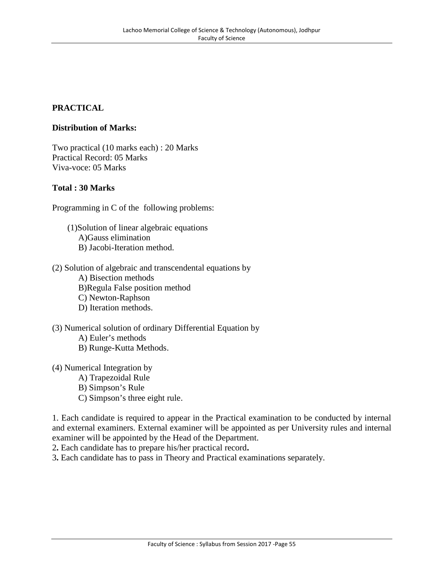# **PRACTICAL**

#### **Distribution of Marks:**

Two practical (10 marks each) : 20 Marks Practical Record: 05 Marks Viva-voce: 05 Marks

#### **Total : 30 Marks**

Programming in C of the following problems:

(1)Solution of linear algebraic equations A)Gauss elimination B) Jacobi-Iteration method.

- (2) Solution of algebraic and transcendental equations by A) Bisection methods B)Regula False position method C) Newton-Raphson D) Iteration methods.
- (3) Numerical solution of ordinary Differential Equation by A) Euler's methods B) Runge-Kutta Methods.

(4) Numerical Integration by A) Trapezoidal Rule B) Simpson's Rule C) Simpson's three eight rule.

1. Each candidate is required to appear in the Practical examination to be conducted by internal and external examiners. External examiner will be appointed as per University rules and internal examiner will be appointed by the Head of the Department.

2**.** Each candidate has to prepare his/her practical record**.**

3**.** Each candidate has to pass in Theory and Practical examinations separately.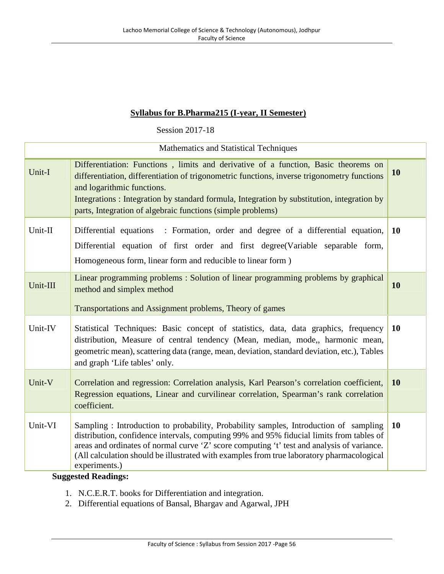# **Syllabus for B.Pharma215 (I-year, II Semester)**

Session 2017-18

| Mathematics and Statistical Techniques |                                                                                                                                                                                                                                                                                                                                                                                                                            |           |  |
|----------------------------------------|----------------------------------------------------------------------------------------------------------------------------------------------------------------------------------------------------------------------------------------------------------------------------------------------------------------------------------------------------------------------------------------------------------------------------|-----------|--|
| Unit-I                                 | Differentiation: Functions, limits and derivative of a function, Basic theorems on<br>differentiation, differentiation of trigonometric functions, inverse trigonometry functions<br>and logarithmic functions.<br>Integrations: Integration by standard formula, Integration by substitution, integration by<br>parts, Integration of algebraic functions (simple problems)                                               | 10        |  |
| Unit-II                                | Differential equations : Formation, order and degree of a differential equation,<br>Differential equation of first order and first degree(Variable separable form,<br>Homogeneous form, linear form and reducible to linear form)                                                                                                                                                                                          | <b>10</b> |  |
| Unit-III                               | Linear programming problems: Solution of linear programming problems by graphical<br>method and simplex method<br>Transportations and Assignment problems, Theory of games                                                                                                                                                                                                                                                 | 10        |  |
| Unit-IV                                | Statistical Techniques: Basic concept of statistics, data, data graphics, frequency<br>distribution, Measure of central tendency (Mean, median, mode,, harmonic mean,<br>geometric mean), scattering data (range, mean, deviation, standard deviation, etc.), Tables<br>and graph 'Life tables' only.                                                                                                                      | <b>10</b> |  |
| Unit-V                                 | Correlation and regression: Correlation analysis, Karl Pearson's correlation coefficient,<br>Regression equations, Linear and curvilinear correlation, Spearman's rank correlation<br>coefficient.                                                                                                                                                                                                                         | <b>10</b> |  |
| Unit-VI                                | Sampling: Introduction to probability, Probability samples, Introduction of sampling<br>distribution, confidence intervals, computing 99% and 95% fiducial limits from tables of<br>areas and ordinates of normal curve 'Z' score computing 't' test and analysis of variance.<br>(All calculation should be illustrated with examples from true laboratory pharmacological<br>experiments.)<br><b>Suggested Readings:</b> | <b>10</b> |  |

- 1. N.C.E.R.T. books for Differentiation and integration.
- 2. Differential equations of Bansal, Bhargav and Agarwal, JPH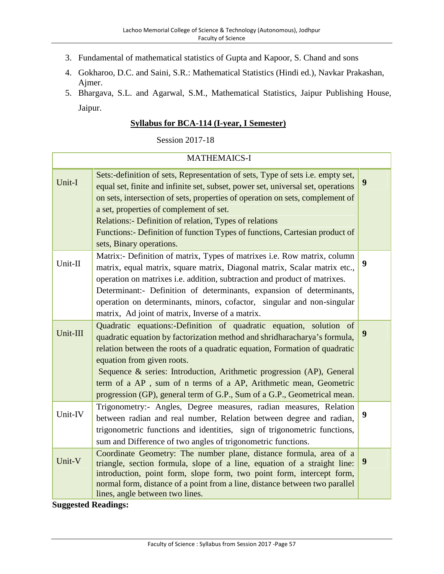- 3. Fundamental of mathematical statistics of Gupta and Kapoor, S. Chand and sons
- 4. Gokharoo, D.C. and Saini, S.R.: Mathematical Statistics (Hindi ed.), Navkar Prakashan, Ajmer.
- 5. Bhargava, S.L. and Agarwal, S.M., Mathematical Statistics, Jaipur Publishing House, Jaipur.

#### **Syllabus for BCA-114 (I-year, I Semester)**

Session 2017-18

| <b>MATHEMAICS-I</b> |                                                                                                                                                                                                                                                                                                                                                                                                                                                                                      |                  |  |
|---------------------|--------------------------------------------------------------------------------------------------------------------------------------------------------------------------------------------------------------------------------------------------------------------------------------------------------------------------------------------------------------------------------------------------------------------------------------------------------------------------------------|------------------|--|
| Unit-I              | Sets:-definition of sets, Representation of sets, Type of sets i.e. empty set,<br>equal set, finite and infinite set, subset, power set, universal set, operations<br>on sets, intersection of sets, properties of operation on sets, complement of<br>a set, properties of complement of set.<br>Relations:- Definition of relation, Types of relations<br>Functions:- Definition of function Types of functions, Cartesian product of<br>sets, Binary operations.                  | 9                |  |
| Unit-II             | Matrix:- Definition of matrix, Types of matrixes i.e. Row matrix, column<br>matrix, equal matrix, square matrix, Diagonal matrix, Scalar matrix etc.,<br>operation on matrixes i.e. addition, subtraction and product of matrixes.<br>Determinant:- Definition of determinants, expansion of determinants,<br>operation on determinants, minors, cofactor, singular and non-singular<br>matrix, Ad joint of matrix, Inverse of a matrix.                                             | $\boldsymbol{9}$ |  |
| Unit-III            | Quadratic equations:-Definition of quadratic equation, solution of<br>quadratic equation by factorization method and shridharacharya's formula,<br>relation between the roots of a quadratic equation, Formation of quadratic<br>equation from given roots.<br>Sequence & series: Introduction, Arithmetic progression (AP), General<br>term of a AP, sum of n terms of a AP, Arithmetic mean, Geometric<br>progression (GP), general term of G.P., Sum of a G.P., Geometrical mean. | 9                |  |
| Unit-IV             | Trigonometry:- Angles, Degree measures, radian measures, Relation<br>between radian and real number, Relation between degree and radian,<br>trigonometric functions and identities, sign of trigonometric functions,<br>sum and Difference of two angles of trigonometric functions.                                                                                                                                                                                                 | 9                |  |
| Unit-V              | Coordinate Geometry: The number plane, distance formula, area of a<br>triangle, section formula, slope of a line, equation of a straight line:<br>introduction, point form, slope form, two point form, intercept form,<br>normal form, distance of a point from a line, distance between two parallel<br>lines, angle between two lines.                                                                                                                                            | $\boldsymbol{9}$ |  |